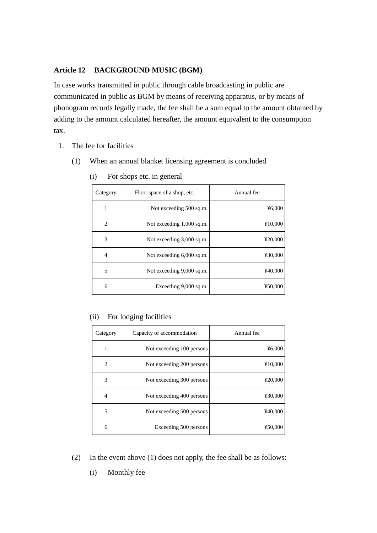# **Article 12 BACKGROUND MUSIC (BGM)**

In case works transmitted in public through cable broadcasting in public are communicated in public as BGM by means of receiving apparatus, or by means of phonogram records legally made, the fee shall be a sum equal to the amount obtained by adding to the amount calculated hereafter, the amount equivalent to the consumption tax.

- 1. The fee for facilities
	- (1) When an annual blanket licensing agreement is concluded

| Category       | Floor space of a shop, etc. | Annual fee |
|----------------|-----------------------------|------------|
| 1              | Not exceeding 500 sq.m.     | 46,000     |
| $\overline{c}$ | Not exceeding 1,000 sq.m.   | ¥10,000    |
| 3              | Not exceeding 3,000 sq.m.   | ¥20,000    |
| 4              | Not exceeding 6,000 sq.m.   | ¥30,000    |
| 5              | Not exceeding 9,000 sq.m.   | ¥40,000    |
| 6              | Exceeding $9,000$ sq.m.     | ¥50,000    |

(i) For shops etc. in general

#### (ii) For lodging facilities

| Category | Capacity of accommodation | Annual fee |
|----------|---------------------------|------------|
| 1        | Not exceeding 100 persons | 46,000     |
| 2        | Not exceeding 200 persons | ¥10,000    |
| 3        | Not exceeding 300 persons | ¥20,000    |
| 4        | Not exceeding 400 persons | ¥30,000    |
| 5        | Not exceeding 500 persons | ¥40,000    |
| 6        | Exceeding 500 persons     | ¥50,000    |

- (2) In the event above (1) does not apply, the fee shall be as follows:
	- (i) Monthly fee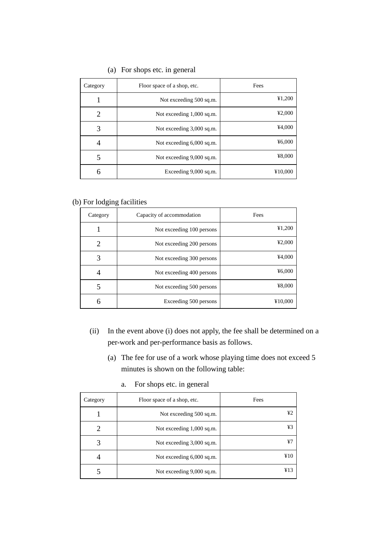| Category | Floor space of a shop, etc. | Fees    |
|----------|-----------------------------|---------|
|          | Not exceeding 500 sq.m.     | ¥1,200  |
| 2        | Not exceeding 1,000 sq.m.   | 42,000  |
| 3        | Not exceeding 3,000 sq.m.   | ¥4,000  |
| 4        | Not exceeding 6,000 sq.m.   | 46,000  |
| 5        | Not exceeding 9,000 sq.m.   | ¥8,000  |
| 6        | Exceeding 9,000 sq.m.       | ¥10,000 |

# (a) For shops etc. in general

# (b) For lodging facilities

| Category | Capacity of accommodation | Fees    |
|----------|---------------------------|---------|
|          | Not exceeding 100 persons | ¥1,200  |
| 2        | Not exceeding 200 persons | 42,000  |
| 3        | Not exceeding 300 persons | ¥4,000  |
| 4        | Not exceeding 400 persons | ¥6,000  |
| 5        | Not exceeding 500 persons | ¥8,000  |
| 6        | Exceeding 500 persons     | ¥10,000 |

- (ii) In the event above (i) does not apply, the fee shall be determined on a per-work and per-performance basis as follows.
	- (a) The fee for use of a work whose playing time does not exceed 5 minutes is shown on the following table:

| Category | Floor space of a shop, etc. | Fees |
|----------|-----------------------------|------|
|          | Not exceeding 500 sq.m.     | ¥2   |
|          | Not exceeding 1,000 sq.m.   | ¥3   |
| 3        | Not exceeding 3,000 sq.m.   | ¥7   |
|          | Not exceeding 6,000 sq.m.   | ¥10  |
|          | Not exceeding 9,000 sq.m.   | 413  |

a. For shops etc. in general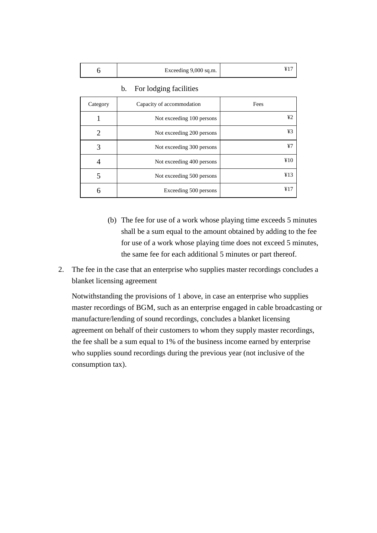| Exceeding 9,000 sq.m. |  |
|-----------------------|--|
|-----------------------|--|

| Category       | Capacity of accommodation | Fees |
|----------------|---------------------------|------|
|                | Not exceeding 100 persons | ¥2   |
| $\overline{2}$ | Not exceeding 200 persons | ¥3   |
| 3              | Not exceeding 300 persons | ¥7   |
| 4              | Not exceeding 400 persons | ¥10  |
| 5              | Not exceeding 500 persons | ¥13  |
| 6              | Exceeding 500 persons     | ¥17  |

b. For lodging facilities

- (b) The fee for use of a work whose playing time exceeds 5 minutes shall be a sum equal to the amount obtained by adding to the fee for use of a work whose playing time does not exceed 5 minutes, the same fee for each additional 5 minutes or part thereof.
- 2. The fee in the case that an enterprise who supplies master recordings concludes a blanket licensing agreement

Notwithstanding the provisions of 1 above, in case an enterprise who supplies master recordings of BGM, such as an enterprise engaged in cable broadcasting or manufacture/lending of sound recordings, concludes a blanket licensing agreement on behalf of their customers to whom they supply master recordings, the fee shall be a sum equal to 1% of the business income earned by enterprise who supplies sound recordings during the previous year (not inclusive of the consumption tax).